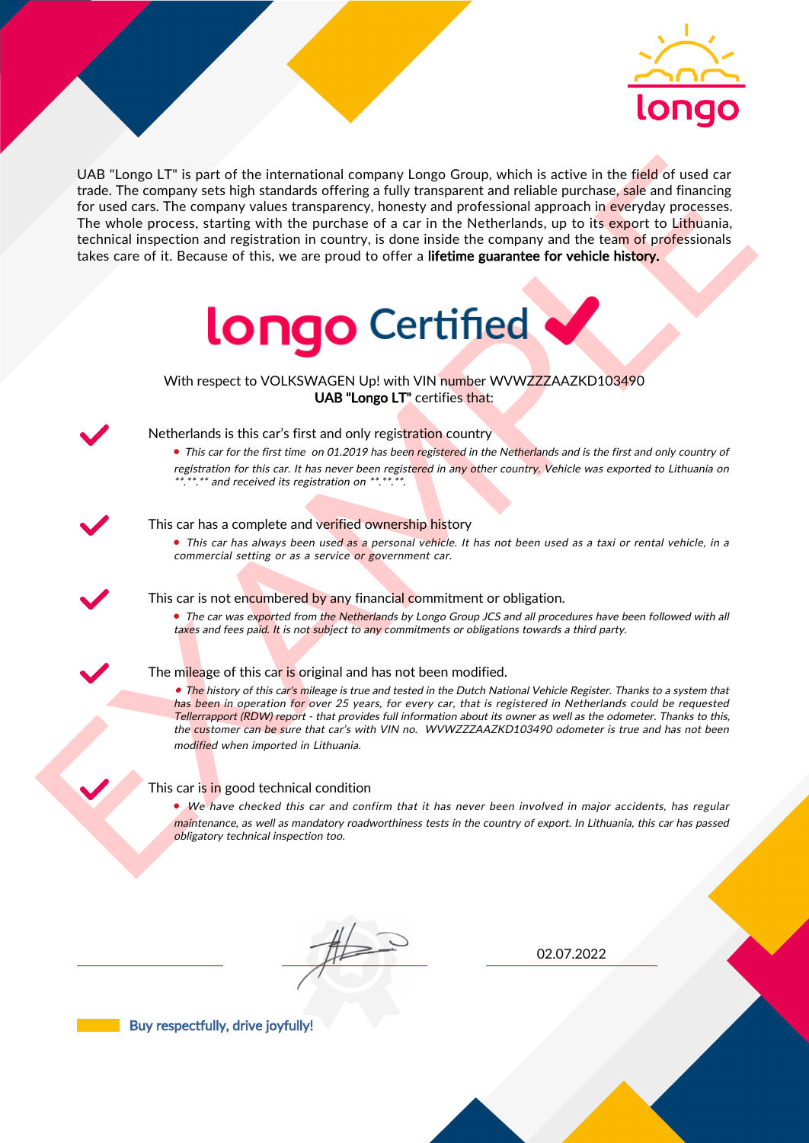

UAS "Lange LI" is part of the interactional company longe Group, which is active in the field of uast car<br>for the field of the control and the interaction (interaction) and the methods are control in percent interaction<br>o UAB "Longo LT" is part of the international company Longo Group, which is active in the field of used car trade. The company sets high standards offering a fully transparent and reliable purchase, sale and financing for used cars. The company values transparency, honesty and professional approach in everyday processes. The whole process, starting with the purchase of a car in the Netherlands, up to its export to Lithuania, technical inspection and registration in country, is done inside the company and the team of professionals takes care of it. Because of this, we are proud to offer a lifetime guarantee for vehicle history.



With respect to VOLKSWAGEN Up! with VIN number WVWZZZAAZKD103490 UAB "Longo LT" certifies that:



## Netherlands is this car's first and only registration country

• This car for the first time on 01.2019 has been registered in the Netherlands and is the first and only country of registration for this car. It has never been registered in any other country. Vehicle was exported to Lithuania on \*.\*\*.\*\* and received its registration on \*\*.\*\*.\*\*.

#### This car has a complete and verified ownership history

• This car has always been used as a personal vehicle. It has not been used as a taxi or rental vehicle, in a commercial setting or as a service or government car.

This car is not encumbered by any financial commitment or obligation.

• The car was exported from the Netherlands by Longo Group JCS and all procedures have been followed with all taxes and fees paid. It is not subject to any commitments or obligations towards a third party.



#### The mileage of this car is original and has not been modified.

• The history of this car's mileage is true and tested in the Dutch National Vehicle Register. Thanks to a system that has been in operation for over 25 years, for every car, that is registered in Netherlands could be requested Tellerrapport (RDW) report - that provides full information about its owner as well as the odometer. Thanks to this, the customer can be sure that car's with VIN no. WVWZZZAAZKD103490 odometer is true and has not been modified when imported in Lithuania.

### This car is in good technical condition

• We have checked this car and confirm that it has never been involved in major accidents, has regular maintenance, as well as mandatory roadworthiness tests in the country of export. In Lithuania, this car has passed obligatory technical inspection too.

02.07.2022

Buy respectfully, drive joyfully!